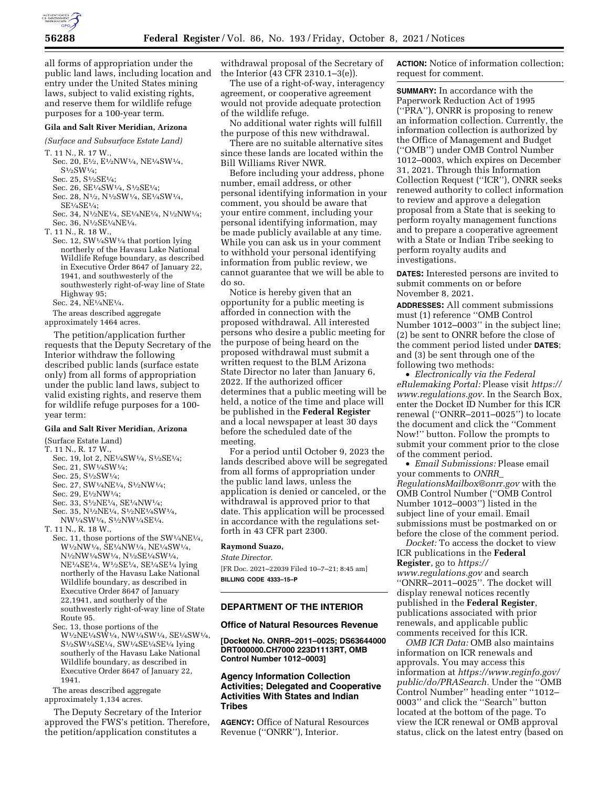

all forms of appropriation under the public land laws, including location and entry under the United States mining laws, subject to valid existing rights, and reserve them for wildlife refuge purposes for a 100-year term.

### **Gila and Salt River Meridian, Arizona**

*(Surface and Subsurface Estate Land)* 

T. 11 N., R. 17 W.,

Sec. 20,  $E^{1/2}$ ,  $E^{1/2}NW^{1/4}$ ,  $NE^{1/4}SW^{1/4}$ , S1⁄2SW1⁄4;

- Sec. 25, S1⁄2SE1⁄4;
- Sec. 26, SE1⁄4SW1⁄4, S1⁄2SE1⁄4;
- Sec. 28, N1⁄2, N1⁄2SW1⁄4, SE1⁄4SW1⁄4,  $SE<sup>1</sup>/<sub>4</sub>SE<sup>1</sup>/<sub>4</sub>$ ;
- Sec. 34, N1⁄2NE1⁄4, SE1⁄4NE1⁄4, N1⁄2NW1⁄4; Sec. 36, N<sup>1</sup>/2SE<sup>1</sup>/4NE<sup>1</sup>/4.

T. 11 N., R. 18 W.,

Sec. 12, SW1⁄4SW1⁄4 that portion lying northerly of the Havasu Lake National Wildlife Refuge boundary, as described in Executive Order 8647 of January 22, 1941, and southwesterly of the southwesterly right-of-way line of State Highway 95;

Sec. 24, NE1⁄4NE1⁄4.

The areas described aggregate approximately 1464 acres.

The petition/application further requests that the Deputy Secretary of the Interior withdraw the following described public lands (surface estate only) from all forms of appropriation under the public land laws, subject to valid existing rights, and reserve them for wildlife refuge purposes for a 100 year term:

## **Gila and Salt River Meridian, Arizona**

#### (Surface Estate Land)

- T. 11 N., R. 17 W.,
	- Sec. 19, lot 2, NE<sup>1</sup>/4SW<sup>1</sup>/4, S<sup>1</sup>/2SE<sup>1</sup>/4;
	- Sec. 21, SW1⁄4SW1⁄4;
	- Sec. 25, S1⁄2SW1⁄4;
	- Sec. 27, SW1⁄4NE1⁄4, S1⁄2NW1⁄4;
	- Sec. 29, E1⁄2NW1⁄4;
	- Sec. 33,  $\rm S^{1}\!/_{2}NE^{1}\!/_{4},$   $\rm SE^{1}\!/_{4}NW^{1}\!/_{4};$ Sec. 35, N1⁄2NE1⁄4, S1⁄2NE1⁄4SW1⁄4,

NW1⁄4SW1⁄4, S1⁄2NW1⁄4SE1⁄4.

- T. 11 N., R. 18 W.,
- Sec. 11, those portions of the SW<sup>1</sup>/<sub>4</sub>NE<sup>1</sup>/<sub>4</sub>, W1⁄2NW1⁄4, SE1⁄4NW1⁄4, NE1⁄4SW1⁄4, N1⁄2NW1⁄4SW1⁄4, N1⁄2SE1⁄4SW1⁄4, NE1⁄4SE1⁄4, W1⁄2SE1⁄4, SE1⁄4SE1⁄4 lying northerly of the Havasu Lake National Wildlife boundary, as described in Executive Order 8647 of January 22,1941, and southerly of the southwesterly right-of-way line of State Route 95.
- Sec. 13, those portions of the W1⁄2NE1⁄4SW1⁄4, NW1⁄4SW1⁄4, SE1⁄4SW1⁄4, S1⁄2SW1⁄4SE1⁄4, SW1⁄4SE1⁄4SE1⁄4 lying southerly of the Havasu Lake National Wildlife boundary, as described in Executive Order 8647 of January 22, 1941.

The areas described aggregate approximately 1,134 acres.

The Deputy Secretary of the Interior approved the FWS's petition. Therefore, the petition/application constitutes a

withdrawal proposal of the Secretary of the Interior (43 CFR 2310.1–3(e)).

The use of a right-of-way, interagency agreement, or cooperative agreement would not provide adequate protection of the wildlife refuge.

No additional water rights will fulfill the purpose of this new withdrawal.

There are no suitable alternative sites since these lands are located within the Bill Williams River NWR.

Before including your address, phone number, email address, or other personal identifying information in your comment, you should be aware that your entire comment, including your personal identifying information, may be made publicly available at any time. While you can ask us in your comment to withhold your personal identifying information from public review, we cannot guarantee that we will be able to do so.

Notice is hereby given that an opportunity for a public meeting is afforded in connection with the proposed withdrawal. All interested persons who desire a public meeting for the purpose of being heard on the proposed withdrawal must submit a written request to the BLM Arizona State Director no later than January 6, 2022. If the authorized officer determines that a public meeting will be held, a notice of the time and place will be published in the **Federal Register**  and a local newspaper at least 30 days before the scheduled date of the meeting.

For a period until October 9, 2023 the lands described above will be segregated from all forms of appropriation under the public land laws, unless the application is denied or canceled, or the withdrawal is approved prior to that date. This application will be processed in accordance with the regulations setforth in 43 CFR part 2300.

## **Raymond Suazo,**

*State Director.* 

[FR Doc. 2021–22039 Filed 10–7–21; 8:45 am] **BILLING CODE 4333–15–P** 

# **DEPARTMENT OF THE INTERIOR**

#### **Office of Natural Resources Revenue**

**[Docket No. ONRR–2011–0025; DS63644000 DRT000000.CH7000 223D1113RT, OMB Control Number 1012–0003]** 

# **Agency Information Collection Activities; Delegated and Cooperative Activities With States and Indian Tribes**

**AGENCY:** Office of Natural Resources Revenue (''ONRR''), Interior.

**ACTION:** Notice of information collection; request for comment.

**SUMMARY:** In accordance with the Paperwork Reduction Act of 1995 (''PRA''), ONRR is proposing to renew an information collection. Currently, the information collection is authorized by the Office of Management and Budget (''OMB'') under OMB Control Number 1012–0003, which expires on December 31, 2021. Through this Information Collection Request (''ICR''), ONRR seeks renewed authority to collect information to review and approve a delegation proposal from a State that is seeking to perform royalty management functions and to prepare a cooperative agreement with a State or Indian Tribe seeking to perform royalty audits and investigations.

**DATES:** Interested persons are invited to submit comments on or before November 8, 2021.

**ADDRESSES:** All comment submissions must (1) reference ''OMB Control Number 1012–0003'' in the subject line; (2) be sent to ONRR before the close of the comment period listed under **DATES**; and (3) be sent through one of the following two methods:

• *Electronically via the Federal eRulemaking Portal:* Please visit *[https://](https://www.regulations.gov)  [www.regulations.gov.](https://www.regulations.gov)* In the Search Box, enter the Docket ID Number for this ICR renewal (''ONRR–2011–0025'') to locate the document and click the ''Comment Now!'' button. Follow the prompts to submit your comment prior to the close of the comment period.

• *Email Submissions:* Please email your comments to *[ONRR](mailto:ONRR_RegulationsMailbox@onrr.gov)*\_ *[RegulationsMailbox@onrr.gov](mailto:ONRR_RegulationsMailbox@onrr.gov)* with the OMB Control Number (''OMB Control Number 1012–0003'') listed in the subject line of your email. Email submissions must be postmarked on or before the close of the comment period.

*Docket:* To access the docket to view ICR publications in the **Federal Register**, go to *[https://](https://www.regulations.gov) [www.regulations.gov](https://www.regulations.gov)* and search ''ONRR–2011–0025''. The docket will display renewal notices recently published in the **Federal Register**, publications associated with prior renewals, and applicable public comments received for this ICR.

*OMB ICR Data:* OMB also maintains information on ICR renewals and approvals. You may access this information at *[https://www.reginfo.gov/](https://www.reginfo.gov/public/do/PRASearch)  [public/do/PRASearch.](https://www.reginfo.gov/public/do/PRASearch)* Under the ''OMB Control Number'' heading enter ''1012– 0003'' and click the ''Search'' button located at the bottom of the page. To view the ICR renewal or OMB approval status, click on the latest entry (based on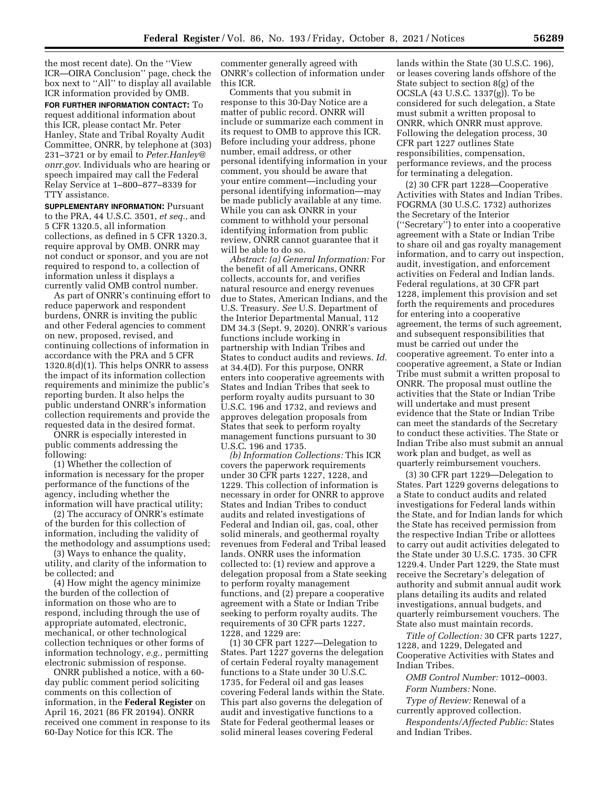the most recent date). On the ''View ICR—OIRA Conclusion'' page, check the box next to ''All'' to display all available ICR information provided by OMB.

**FOR FURTHER INFORMATION CONTACT:** To request additional information about this ICR, please contact Mr. Peter Hanley, State and Tribal Royalty Audit Committee, ONRR, by telephone at (303) 231–3721 or by email to *[Peter.Hanley@](mailto:Peter.Hanley@onrr.gov) [onrr.gov.](mailto:Peter.Hanley@onrr.gov)* Individuals who are hearing or speech impaired may call the Federal Relay Service at 1–800–877–8339 for TTY assistance.

**SUPPLEMENTARY INFORMATION:** Pursuant to the PRA, 44 U.S.C. 3501, *et seq.,* and 5 CFR 1320.5, all information collections, as defined in 5 CFR 1320.3, require approval by OMB. ONRR may not conduct or sponsor, and you are not required to respond to, a collection of information unless it displays a currently valid OMB control number.

As part of ONRR's continuing effort to reduce paperwork and respondent burdens, ONRR is inviting the public and other Federal agencies to comment on new, proposed, revised, and continuing collections of information in accordance with the PRA and 5 CFR 1320.8(d)(1). This helps ONRR to assess the impact of its information collection requirements and minimize the public's reporting burden. It also helps the public understand ONRR's information collection requirements and provide the requested data in the desired format.

ONRR is especially interested in public comments addressing the following:

(1) Whether the collection of information is necessary for the proper performance of the functions of the agency, including whether the information will have practical utility;

(2) The accuracy of ONRR's estimate of the burden for this collection of information, including the validity of the methodology and assumptions used;

(3) Ways to enhance the quality, utility, and clarity of the information to be collected; and

(4) How might the agency minimize the burden of the collection of information on those who are to respond, including through the use of appropriate automated, electronic, mechanical, or other technological collection techniques or other forms of information technology, *e.g.,* permitting electronic submission of response.

ONRR published a notice, with a 60 day public comment period soliciting comments on this collection of information, in the **Federal Register** on April 16, 2021 (86 FR 20194). ONRR received one comment in response to its 60-Day Notice for this ICR. The

commenter generally agreed with ONRR's collection of information under this ICR.

Comments that you submit in response to this 30-Day Notice are a matter of public record. ONRR will include or summarize each comment in its request to OMB to approve this ICR. Before including your address, phone number, email address, or other personal identifying information in your comment, you should be aware that your entire comment—including your personal identifying information—may be made publicly available at any time. While you can ask ONRR in your comment to withhold your personal identifying information from public review, ONRR cannot guarantee that it will be able to do so.

*Abstract: (a) General Information:* For the benefit of all Americans, ONRR collects, accounts for, and verifies natural resource and energy revenues due to States, American Indians, and the U.S. Treasury. *See* U.S. Department of the Interior Departmental Manual, 112 DM 34.3 (Sept. 9, 2020). ONRR's various functions include working in partnership with Indian Tribes and States to conduct audits and reviews. *Id.*  at 34.4(D). For this purpose, ONRR enters into cooperative agreements with States and Indian Tribes that seek to perform royalty audits pursuant to 30 U.S.C. 196 and 1732, and reviews and approves delegation proposals from States that seek to perform royalty management functions pursuant to 30 U.S.C. 196 and 1735.

*(b) Information Collections:* This ICR covers the paperwork requirements under 30 CFR parts 1227, 1228, and 1229. This collection of information is necessary in order for ONRR to approve States and Indian Tribes to conduct audits and related investigations of Federal and Indian oil, gas, coal, other solid minerals, and geothermal royalty revenues from Federal and Tribal leased lands. ONRR uses the information collected to: (1) review and approve a delegation proposal from a State seeking to perform royalty management functions, and (2) prepare a cooperative agreement with a State or Indian Tribe seeking to perform royalty audits. The requirements of 30 CFR parts 1227, 1228, and 1229 are:

(1) 30 CFR part 1227—Delegation to States. Part 1227 governs the delegation of certain Federal royalty management functions to a State under 30 U.S.C. 1735, for Federal oil and gas leases covering Federal lands within the State. This part also governs the delegation of audit and investigative functions to a State for Federal geothermal leases or solid mineral leases covering Federal

lands within the State (30 U.S.C. 196), or leases covering lands offshore of the State subject to section 8(g) of the OCSLA (43 U.S.C. 1337(g)). To be considered for such delegation, a State must submit a written proposal to ONRR, which ONRR must approve. Following the delegation process, 30 CFR part 1227 outlines State responsibilities, compensation, performance reviews, and the process for terminating a delegation.

(2) 30 CFR part 1228—Cooperative Activities with States and Indian Tribes. FOGRMA (30 U.S.C. 1732) authorizes the Secretary of the Interior (''Secretary'') to enter into a cooperative agreement with a State or Indian Tribe to share oil and gas royalty management information, and to carry out inspection, audit, investigation, and enforcement activities on Federal and Indian lands. Federal regulations, at 30 CFR part 1228, implement this provision and set forth the requirements and procedures for entering into a cooperative agreement, the terms of such agreement, and subsequent responsibilities that must be carried out under the cooperative agreement. To enter into a cooperative agreement, a State or Indian Tribe must submit a written proposal to ONRR. The proposal must outline the activities that the State or Indian Tribe will undertake and must present evidence that the State or Indian Tribe can meet the standards of the Secretary to conduct these activities. The State or Indian Tribe also must submit an annual work plan and budget, as well as quarterly reimbursement vouchers.

(3) 30 CFR part 1229—Delegation to States. Part 1229 governs delegations to a State to conduct audits and related investigations for Federal lands within the State, and for Indian lands for which the State has received permission from the respective Indian Tribe or allottees to carry out audit activities delegated to the State under 30 U.S.C. 1735. 30 CFR 1229.4. Under Part 1229, the State must receive the Secretary's delegation of authority and submit annual audit work plans detailing its audits and related investigations, annual budgets, and quarterly reimbursement vouchers. The State also must maintain records.

*Title of Collection:* 30 CFR parts 1227, 1228, and 1229, Delegated and Cooperative Activities with States and Indian Tribes.

*OMB Control Number:* 1012–0003. *Form Numbers:* None.

*Type of Review:* Renewal of a currently approved collection.

*Respondents/Affected Public:* States and Indian Tribes.